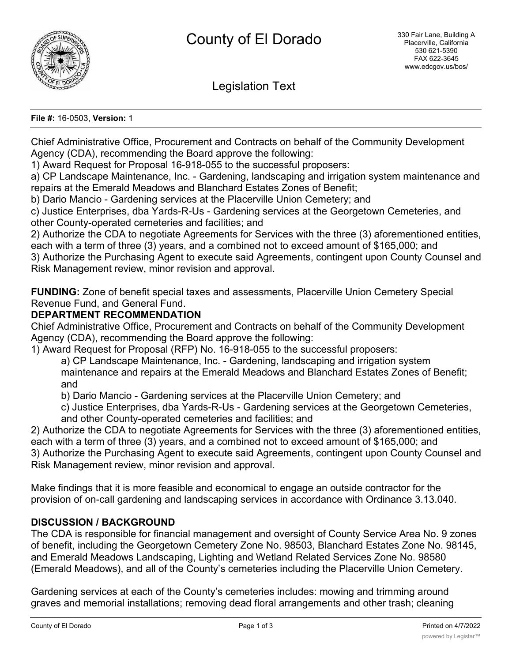

Legislation Text

**File #:** 16-0503, **Version:** 1

Chief Administrative Office, Procurement and Contracts on behalf of the Community Development Agency (CDA), recommending the Board approve the following:

1) Award Request for Proposal 16-918-055 to the successful proposers:

a) CP Landscape Maintenance, Inc. - Gardening, landscaping and irrigation system maintenance and repairs at the Emerald Meadows and Blanchard Estates Zones of Benefit;

b) Dario Mancio - Gardening services at the Placerville Union Cemetery; and

c) Justice Enterprises, dba Yards-R-Us - Gardening services at the Georgetown Cemeteries, and other County-operated cemeteries and facilities; and

2) Authorize the CDA to negotiate Agreements for Services with the three (3) aforementioned entities, each with a term of three (3) years, and a combined not to exceed amount of \$165,000; and

3) Authorize the Purchasing Agent to execute said Agreements, contingent upon County Counsel and Risk Management review, minor revision and approval.

**FUNDING:** Zone of benefit special taxes and assessments, Placerville Union Cemetery Special Revenue Fund, and General Fund.

# **DEPARTMENT RECOMMENDATION**

Chief Administrative Office, Procurement and Contracts on behalf of the Community Development Agency (CDA), recommending the Board approve the following:

1) Award Request for Proposal (RFP) No. 16-918-055 to the successful proposers:

a) CP Landscape Maintenance, Inc. - Gardening, landscaping and irrigation system maintenance and repairs at the Emerald Meadows and Blanchard Estates Zones of Benefit; and

b) Dario Mancio - Gardening services at the Placerville Union Cemetery; and

c) Justice Enterprises, dba Yards-R-Us - Gardening services at the Georgetown Cemeteries, and other County-operated cemeteries and facilities; and

2) Authorize the CDA to negotiate Agreements for Services with the three (3) aforementioned entities, each with a term of three (3) years, and a combined not to exceed amount of \$165,000; and 3) Authorize the Purchasing Agent to execute said Agreements, contingent upon County Counsel and Risk Management review, minor revision and approval.

Make findings that it is more feasible and economical to engage an outside contractor for the provision of on-call gardening and landscaping services in accordance with Ordinance 3.13.040.

# **DISCUSSION / BACKGROUND**

The CDA is responsible for financial management and oversight of County Service Area No. 9 zones of benefit, including the Georgetown Cemetery Zone No. 98503, Blanchard Estates Zone No. 98145, and Emerald Meadows Landscaping, Lighting and Wetland Related Services Zone No. 98580 (Emerald Meadows), and all of the County's cemeteries including the Placerville Union Cemetery.

Gardening services at each of the County's cemeteries includes: mowing and trimming around graves and memorial installations; removing dead floral arrangements and other trash; cleaning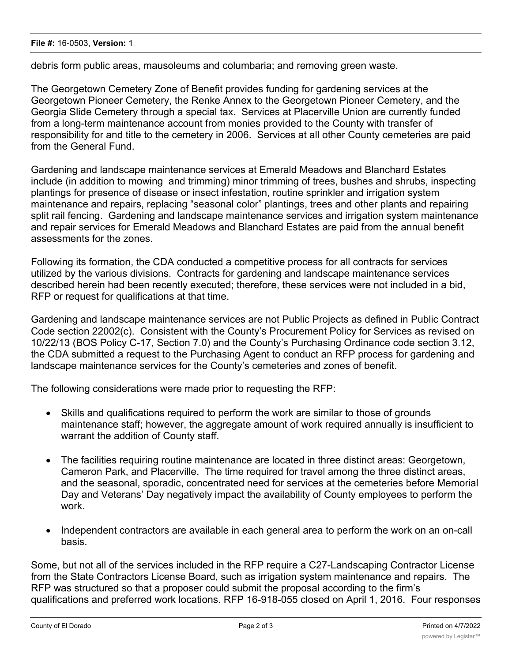debris form public areas, mausoleums and columbaria; and removing green waste.

The Georgetown Cemetery Zone of Benefit provides funding for gardening services at the Georgetown Pioneer Cemetery, the Renke Annex to the Georgetown Pioneer Cemetery, and the Georgia Slide Cemetery through a special tax. Services at Placerville Union are currently funded from a long-term maintenance account from monies provided to the County with transfer of responsibility for and title to the cemetery in 2006. Services at all other County cemeteries are paid from the General Fund.

Gardening and landscape maintenance services at Emerald Meadows and Blanchard Estates include (in addition to mowing and trimming) minor trimming of trees, bushes and shrubs, inspecting plantings for presence of disease or insect infestation, routine sprinkler and irrigation system maintenance and repairs, replacing "seasonal color" plantings, trees and other plants and repairing split rail fencing. Gardening and landscape maintenance services and irrigation system maintenance and repair services for Emerald Meadows and Blanchard Estates are paid from the annual benefit assessments for the zones.

Following its formation, the CDA conducted a competitive process for all contracts for services utilized by the various divisions. Contracts for gardening and landscape maintenance services described herein had been recently executed; therefore, these services were not included in a bid, RFP or request for qualifications at that time.

Gardening and landscape maintenance services are not Public Projects as defined in Public Contract Code section 22002(c). Consistent with the County's Procurement Policy for Services as revised on 10/22/13 (BOS Policy C-17, Section 7.0) and the County's Purchasing Ordinance code section 3.12, the CDA submitted a request to the Purchasing Agent to conduct an RFP process for gardening and landscape maintenance services for the County's cemeteries and zones of benefit.

The following considerations were made prior to requesting the RFP:

- Skills and qualifications required to perform the work are similar to those of grounds maintenance staff; however, the aggregate amount of work required annually is insufficient to warrant the addition of County staff.
- · The facilities requiring routine maintenance are located in three distinct areas: Georgetown, Cameron Park, and Placerville. The time required for travel among the three distinct areas, and the seasonal, sporadic, concentrated need for services at the cemeteries before Memorial Day and Veterans' Day negatively impact the availability of County employees to perform the work.
- · Independent contractors are available in each general area to perform the work on an on-call basis.

Some, but not all of the services included in the RFP require a C27-Landscaping Contractor License from the State Contractors License Board, such as irrigation system maintenance and repairs. The RFP was structured so that a proposer could submit the proposal according to the firm's qualifications and preferred work locations. RFP 16-918-055 closed on April 1, 2016. Four responses